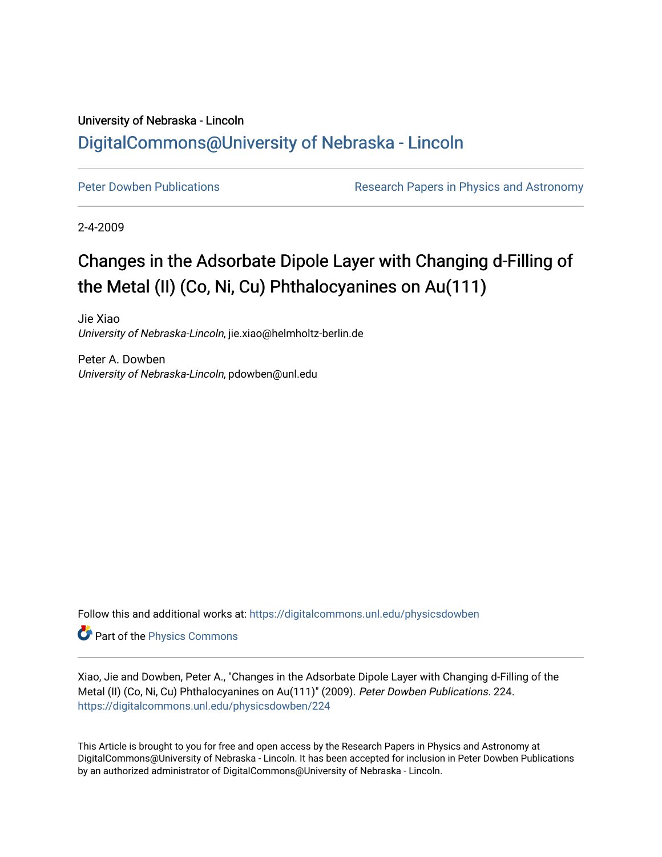## University of Nebraska - Lincoln [DigitalCommons@University of Nebraska - Lincoln](https://digitalcommons.unl.edu/)

[Peter Dowben Publications](https://digitalcommons.unl.edu/physicsdowben) **Research Papers in Physics and Astronomy** 

2-4-2009

## Changes in the Adsorbate Dipole Layer with Changing d-Filling of the Metal (II) (Co, Ni, Cu) Phthalocyanines on Au(111)

Jie Xiao University of Nebraska-Lincoln, jie.xiao@helmholtz-berlin.de

Peter A. Dowben University of Nebraska-Lincoln, pdowben@unl.edu

Follow this and additional works at: [https://digitalcommons.unl.edu/physicsdowben](https://digitalcommons.unl.edu/physicsdowben?utm_source=digitalcommons.unl.edu%2Fphysicsdowben%2F224&utm_medium=PDF&utm_campaign=PDFCoverPages) 

Part of the [Physics Commons](http://network.bepress.com/hgg/discipline/193?utm_source=digitalcommons.unl.edu%2Fphysicsdowben%2F224&utm_medium=PDF&utm_campaign=PDFCoverPages)

Xiao, Jie and Dowben, Peter A., "Changes in the Adsorbate Dipole Layer with Changing d-Filling of the Metal (II) (Co, Ni, Cu) Phthalocyanines on Au(111)" (2009). Peter Dowben Publications. 224. [https://digitalcommons.unl.edu/physicsdowben/224](https://digitalcommons.unl.edu/physicsdowben/224?utm_source=digitalcommons.unl.edu%2Fphysicsdowben%2F224&utm_medium=PDF&utm_campaign=PDFCoverPages) 

This Article is brought to you for free and open access by the Research Papers in Physics and Astronomy at DigitalCommons@University of Nebraska - Lincoln. It has been accepted for inclusion in Peter Dowben Publications by an authorized administrator of DigitalCommons@University of Nebraska - Lincoln.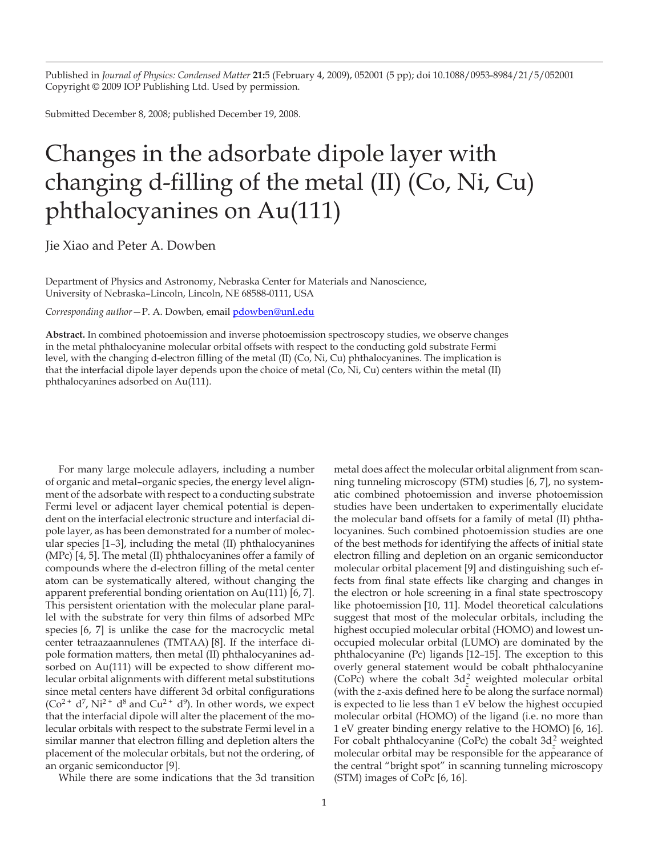Published in *Journal of Physics: Condensed Matter* **21:**5 (February 4, 2009), 052001 (5 pp); doi 10.1088/0953-8984/21/5/052001 Copyright © 2009 IOP Publishing Ltd. Used by permission.

Submitted December 8, 2008; published December 19, 2008.

## Changes in the adsorbate dipole layer with changing d-filling of the metal (II) (Co, Ni, Cu) phthalocyanines on Au(111)

Jie Xiao and Peter A. Dowben

Department of Physics and Astronomy, Nebraska Center for Materials and Nanoscience, University of Nebraska–Lincoln, Lincoln, NE 68588-0111, USA

*Corresponding author*—P. A. Dowben, email pdowben@unl.edu

**Abstract.** In combined photoemission and inverse photoemission spectroscopy studies, we observe changes in the metal phthalocyanine molecular orbital offsets with respect to the conducting gold substrate Fermi level, with the changing d-electron filling of the metal (II) (Co, Ni, Cu) phthalocyanines. The implication is that the interfacial dipole layer depends upon the choice of metal (Co, Ni, Cu) centers within the metal (II) phthalocyanines adsorbed on Au(111).

For many large molecule adlayers, including a number of organic and metal–organic species, the energy level alignment of the adsorbate with respect to a conducting substrate Fermi level or adjacent layer chemical potential is dependent on the interfacial electronic structure and interfacial dipole layer, as has been demonstrated for a number of molecular species [1–3], including the metal (II) phthalocyanines (MPc) [4, 5]. The metal (II) phthalocyanines offer a family of compounds where the d-electron filling of the metal center atom can be systematically altered, without changing the apparent preferential bonding orientation on Au(111) [6, 7]. This persistent orientation with the molecular plane parallel with the substrate for very thin films of adsorbed MPc species [6, 7] is unlike the case for the macrocyclic metal center tetraazaannulenes (TMTAA) [8]. If the interface dipole formation matters, then metal (II) phthalocyanines adsorbed on Au(111) will be expected to show different molecular orbital alignments with different metal substitutions since metal centers have different 3d orbital configurations  $(Co<sup>2+</sup> d<sup>7</sup>, Ni<sup>2+</sup> d<sup>8</sup>$  and Cu<sup>2+</sup> d<sup>9</sup>). In other words, we expect that the interfacial dipole will alter the placement of the molecular orbitals with respect to the substrate Fermi level in a similar manner that electron filling and depletion alters the placement of the molecular orbitals, but not the ordering, of an organic semiconductor [9].

While there are some indications that the 3d transition

metal does affect the molecular orbital alignment from scanning tunneling microscopy (STM) studies [6, 7], no systematic combined photoemission and inverse photoemission studies have been undertaken to experimentally elucidate the molecular band offsets for a family of metal (II) phthalocyanines. Such combined photoemission studies are one of the best methods for identifying the affects of initial state electron filling and depletion on an organic semiconductor molecular orbital placement [9] and distinguishing such effects from final state effects like charging and changes in the electron or hole screening in a final state spectroscopy like photoemission [10, 11]. Model theoretical calculations suggest that most of the molecular orbitals, including the highest occupied molecular orbital (HOMO) and lowest unoccupied molecular orbital (LUMO) are dominated by the phthalocyanine (Pc) ligands [12–15]. The exception to this overly general statement would be cobalt phthalocyanine (CoPc) where the cobalt  $3d_z^2$  weighted molecular orbital (with the *z*-axis defined here to be along the surface normal) is expected to lie less than 1 eV below the highest occupied molecular orbital (HOMO) of the ligand (i.e. no more than 1 eV greater binding energy relative to the HOMO) [6, 16]. For cobalt phthalocyanine (CoPc) the cobalt 3d*<sup>z</sup>* 2 weighted molecular orbital may be responsible for the appearance of the central "bright spot" in scanning tunneling microscopy (STM) images of CoPc [6, 16].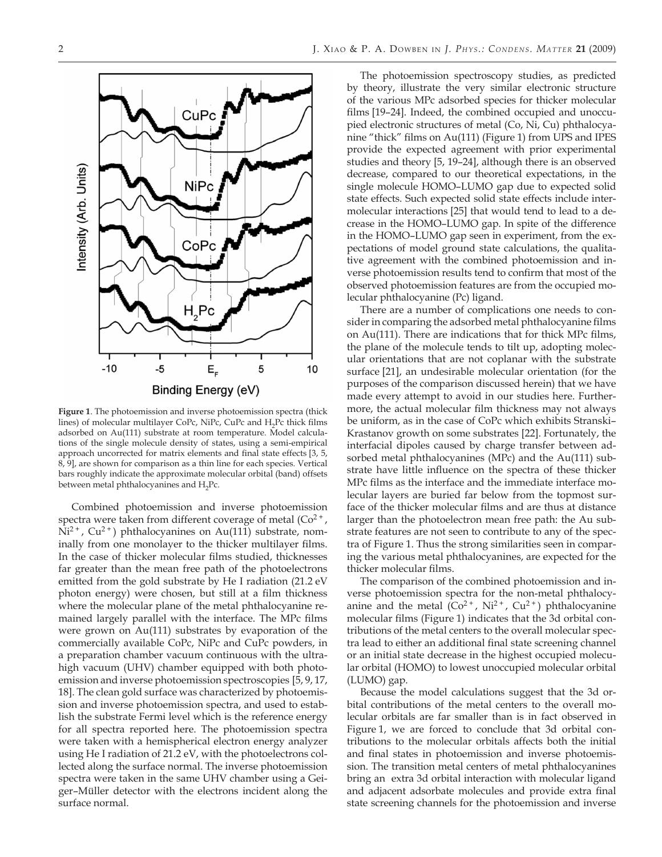

**Figure 1**. The photoemission and inverse photoemission spectra (thick lines) of molecular multilayer CoPc, NiPc, CuPc and H<sub>2</sub>Pc thick films adsorbed on Au(111) substrate at room temperature. Model calculations of the single molecule density of states, using a semi-empirical approach uncorrected for matrix elements and final state effects [3, 5, 8, 9], are shown for comparison as a thin line for each species. Vertical bars roughly indicate the approximate molecular orbital (band) offsets between metal phthalocyanines and  $H_2Pc$ .

Combined photoemission and inverse photoemission spectra were taken from different coverage of metal  $(Co^{2+}$ ,  $Ni<sup>2+</sup>$ , Cu<sup>2+</sup>) phthalocyanines on Au(111) substrate, nominally from one monolayer to the thicker multilayer films. In the case of thicker molecular films studied, thicknesses far greater than the mean free path of the photoelectrons emitted from the gold substrate by He I radiation (21.2 eV photon energy) were chosen, but still at a film thickness where the molecular plane of the metal phthalocyanine remained largely parallel with the interface. The MPc films were grown on Au(111) substrates by evaporation of the commercially available CoPc, NiPc and CuPc powders, in a preparation chamber vacuum continuous with the ultrahigh vacuum (UHV) chamber equipped with both photoemission and inverse photoemission spectroscopies [5, 9, 17, 18]. The clean gold surface was characterized by photoemission and inverse photoemission spectra, and used to establish the substrate Fermi level which is the reference energy for all spectra reported here. The photoemission spectra were taken with a hemispherical electron energy analyzer using He I radiation of 21.2 eV, with the photoelectrons collected along the surface normal. The inverse photoemission spectra were taken in the same UHV chamber using a Geiger–Müller detector with the electrons incident along the surface normal.

The photoemission spectroscopy studies, as predicted by theory, illustrate the very similar electronic structure of the various MPc adsorbed species for thicker molecular films [19–24]. Indeed, the combined occupied and unoccupied electronic structures of metal (Co, Ni, Cu) phthalocyanine "thick" films on Au(111) (Figure 1) from UPS and IPES provide the expected agreement with prior experimental studies and theory [5, 19–24], although there is an observed decrease, compared to our theoretical expectations, in the single molecule HOMO–LUMO gap due to expected solid state effects. Such expected solid state effects include intermolecular interactions [25] that would tend to lead to a decrease in the HOMO–LUMO gap. In spite of the difference in the HOMO–LUMO gap seen in experiment, from the expectations of model ground state calculations, the qualitative agreement with the combined photoemission and inverse photoemission results tend to confirm that most of the observed photoemission features are from the occupied molecular phthalocyanine (Pc) ligand.

There are a number of complications one needs to consider in comparing the adsorbed metal phthalocyanine films on Au(111). There are indications that for thick MPc films, the plane of the molecule tends to tilt up, adopting molecular orientations that are not coplanar with the substrate surface [21], an undesirable molecular orientation (for the purposes of the comparison discussed herein) that we have made every attempt to avoid in our studies here. Furthermore, the actual molecular film thickness may not always be uniform, as in the case of CoPc which exhibits Stranski– Krastanov growth on some substrates [22]. Fortunately, the interfacial dipoles caused by charge transfer between adsorbed metal phthalocyanines (MPc) and the Au(111) substrate have little influence on the spectra of these thicker MPc films as the interface and the immediate interface molecular layers are buried far below from the topmost surface of the thicker molecular films and are thus at distance larger than the photoelectron mean free path: the Au substrate features are not seen to contribute to any of the spectra of Figure 1. Thus the strong similarities seen in comparing the various metal phthalocyanines, are expected for the thicker molecular films.

The comparison of the combined photoemission and inverse photoemission spectra for the non-metal phthalocyanine and the metal  $(Co^{2+}$ , Ni<sup>2+</sup>, Cu<sup>2+</sup>) phthalocyanine molecular films (Figure 1) indicates that the 3d orbital contributions of the metal centers to the overall molecular spectra lead to either an additional final state screening channel or an initial state decrease in the highest occupied molecular orbital (HOMO) to lowest unoccupied molecular orbital (LUMO) gap.

Because the model calculations suggest that the 3d orbital contributions of the metal centers to the overall molecular orbitals are far smaller than is in fact observed in Figure 1, we are forced to conclude that 3d orbital contributions to the molecular orbitals affects both the initial and final states in photoemission and inverse photoemission. The transition metal centers of metal phthalocyanines bring an extra 3d orbital interaction with molecular ligand and adjacent adsorbate molecules and provide extra final state screening channels for the photoemission and inverse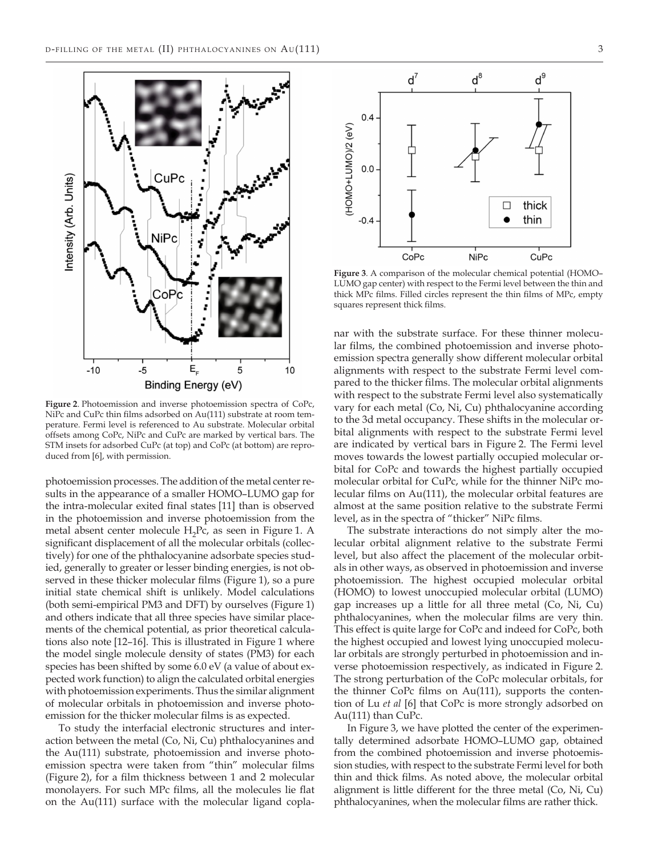

**Figure 2**. Photoemission and inverse photoemission spectra of CoPc, NiPc and CuPc thin films adsorbed on Au(111) substrate at room temperature. Fermi level is referenced to Au substrate. Molecular orbital offsets among CoPc, NiPc and CuPc are marked by vertical bars. The STM insets for adsorbed CuPc (at top) and CoPc (at bottom) are reproduced from [6], with permission.

photoemission processes. The addition of the metal center results in the appearance of a smaller HOMO–LUMO gap for the intra-molecular exited final states [11] than is observed in the photoemission and inverse photoemission from the metal absent center molecule H<sub>2</sub>Pc, as seen in Figure 1. A significant displacement of all the molecular orbitals (collectively) for one of the phthalocyanine adsorbate species studied, generally to greater or lesser binding energies, is not observed in these thicker molecular films (Figure 1), so a pure initial state chemical shift is unlikely. Model calculations (both semi-empirical PM3 and DFT) by ourselves (Figure 1) and others indicate that all three species have similar placements of the chemical potential, as prior theoretical calculations also note [12–16]. This is illustrated in Figure 1 where the model single molecule density of states (PM3) for each species has been shifted by some 6.0 eV (a value of about expected work function) to align the calculated orbital energies with photoemission experiments. Thus the similar alignment of molecular orbitals in photoemission and inverse photoemission for the thicker molecular films is as expected.

To study the interfacial electronic structures and interaction between the metal (Co, Ni, Cu) phthalocyanines and the Au(111) substrate, photoemission and inverse photoemission spectra were taken from "thin" molecular films (Figure 2), for a film thickness between 1 and 2 molecular monolayers. For such MPc films, all the molecules lie flat on the Au(111) surface with the molecular ligand copla-



**Figure 3**. A comparison of the molecular chemical potential (HOMO– LUMO gap center) with respect to the Fermi level between the thin and thick MPc films. Filled circles represent the thin films of MPc, empty squares represent thick films.

nar with the substrate surface. For these thinner molecular films, the combined photoemission and inverse photoemission spectra generally show different molecular orbital alignments with respect to the substrate Fermi level compared to the thicker films. The molecular orbital alignments with respect to the substrate Fermi level also systematically vary for each metal (Co, Ni, Cu) phthalocyanine according to the 3d metal occupancy. These shifts in the molecular orbital alignments with respect to the substrate Fermi level are indicated by vertical bars in Figure 2. The Fermi level moves towards the lowest partially occupied molecular orbital for CoPc and towards the highest partially occupied molecular orbital for CuPc, while for the thinner NiPc molecular films on Au(111), the molecular orbital features are almost at the same position relative to the substrate Fermi level, as in the spectra of "thicker" NiPc films.

The substrate interactions do not simply alter the molecular orbital alignment relative to the substrate Fermi level, but also affect the placement of the molecular orbitals in other ways, as observed in photoemission and inverse photoemission. The highest occupied molecular orbital (HOMO) to lowest unoccupied molecular orbital (LUMO) gap increases up a little for all three metal (Co, Ni, Cu) phthalocyanines, when the molecular films are very thin. This effect is quite large for CoPc and indeed for CoPc, both the highest occupied and lowest lying unoccupied molecular orbitals are strongly perturbed in photoemission and inverse photoemission respectively, as indicated in Figure 2. The strong perturbation of the CoPc molecular orbitals, for the thinner CoPc films on Au(111), supports the contention of Lu *et al* [6] that CoPc is more strongly adsorbed on Au(111) than CuPc.

In Figure 3, we have plotted the center of the experimentally determined adsorbate HOMO–LUMO gap, obtained from the combined photoemission and inverse photoemission studies, with respect to the substrate Fermi level for both thin and thick films. As noted above, the molecular orbital alignment is little different for the three metal (Co, Ni, Cu) phthalocyanines, when the molecular films are rather thick.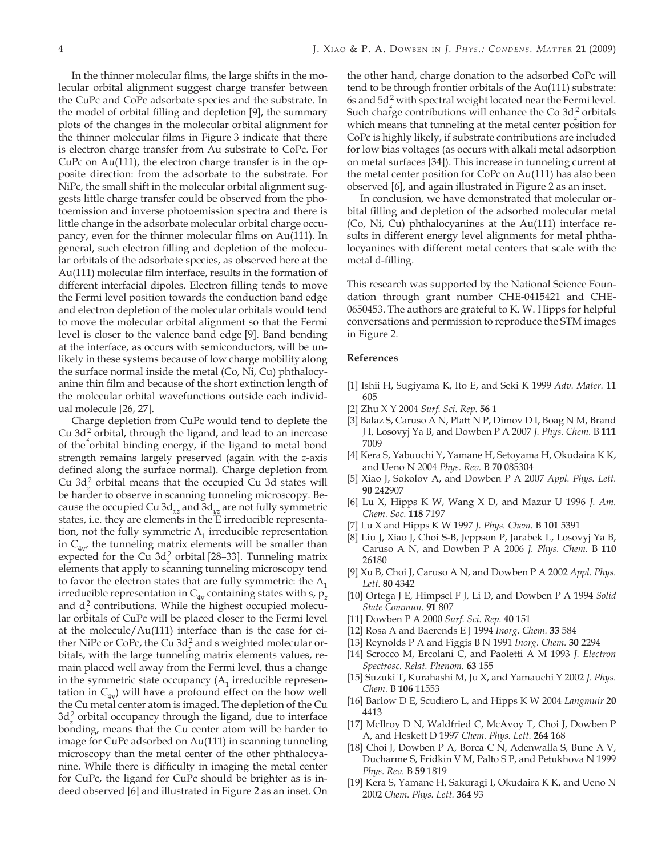the model of orbital filling and depletion [9], the summary plots of the changes in the molecular orbital alignment for the thinner molecular films in Figure 3 indicate that there is electron charge transfer from Au substrate to CoPc. For CuPc on Au(111), the electron charge transfer is in the opposite direction: from the adsorbate to the substrate. For NiPc, the small shift in the molecular orbital alignment suggests little charge transfer could be observed from the photoemission and inverse photoemission spectra and there is little change in the adsorbate molecular orbital charge occupancy, even for the thinner molecular films on Au(111). In general, such electron filling and depletion of the molecular orbitals of the adsorbate species, as observed here at the Au(111) molecular film interface, results in the formation of different interfacial dipoles. Electron filling tends to move the Fermi level position towards the conduction band edge and electron depletion of the molecular orbitals would tend to move the molecular orbital alignment so that the Fermi level is closer to the valence band edge [9]. Band bending at the interface, as occurs with semiconductors, will be unlikely in these systems because of low charge mobility along the surface normal inside the metal (Co, Ni, Cu) phthalocyanine thin film and because of the short extinction length of the molecular orbital wavefunctions outside each individual molecule [26, 27].

Charge depletion from CuPc would tend to deplete the Cu 3d*<sup>z</sup>* 2 orbital, through the ligand, and lead to an increase of the orbital binding energy, if the ligand to metal bond strength remains largely preserved (again with the *z*-axis defined along the surface normal). Charge depletion from Cu  $3d<sub>z</sub><sup>2</sup>$  orbital means that the occupied Cu 3d states will be harder to observe in scanning tunneling microscopy. Because the occupied Cu 3d<sub>yz</sub> and 3d<sub>yz</sub> are not fully symmetric states, i.e. they are elements in the E irreducible representation, not the fully symmetric  $A_1$  irreducible representation in  $C_{4v}$ , the tunneling matrix elements will be smaller than expected for the Cu 3d*<sup>z</sup>* 2 orbital [28–33]. Tunneling matrix elements that apply to scanning tunneling microscopy tend to favor the electron states that are fully symmetric: the  $A_1$ irreducible representation in  $C_{4v}$  containing states with s,  $p_z$ and  $d^2$  contributions. While the highest occupied molecular orbitals of CuPc will be placed closer to the Fermi level at the molecule/Au(111) interface than is the case for either NiPc or CoPc, the Cu 3d*<sup>z</sup>* 2 and s weighted molecular orbitals, with the large tunneling matrix elements values, remain placed well away from the Fermi level, thus a change in the symmetric state occupancy  $(A_1 \text{ irreducible representation})$ tation in  $C_{4v}$ ) will have a profound effect on the how well the Cu metal center atom is imaged. The depletion of the Cu 3d<sup>2</sup> orbital occupancy through the ligand, due to interface bonding, means that the Cu center atom will be harder to image for CuPc adsorbed on Au(111) in scanning tunneling microscopy than the metal center of the other phthalocyanine. While there is difficulty in imaging the metal center for CuPc, the ligand for CuPc should be brighter as is indeed observed [6] and illustrated in Figure 2 as an inset. On

the other hand, charge donation to the adsorbed CoPc will tend to be through frontier orbitals of the Au(111) substrate: 6s and  $5d_z^2$  with spectral weight located near the Fermi level. Such charge contributions will enhance the Co  $3d<sub>z</sub><sup>2</sup>$  orbitals which means that tunneling at the metal center position for CoPc is highly likely, if substrate contributions are included for low bias voltages (as occurs with alkali metal adsorption on metal surfaces [34]). This increase in tunneling current at the metal center position for CoPc on Au(111) has also been

observed [6], and again illustrated in Figure 2 as an inset. In conclusion, we have demonstrated that molecular orbital filling and depletion of the adsorbed molecular metal (Co, Ni, Cu) phthalocyanines at the Au(111) interface results in different energy level alignments for metal phthalocyanines with different metal centers that scale with the metal d-filling.

This research was supported by the National Science Foundation through grant number CHE-0415421 and CHE-0650453. The authors are grateful to K. W. Hipps for helpful conversations and permission to reproduce the STM images in Figure 2.

## **References**

- [1] Ishii H, Sugiyama K, Ito E, and Seki K 1999 *Adv. Mater.* **11** 605
- [2] Zhu X Y 2004 *Surf. Sci. Rep.* **56** 1
- [3] Balaz S, Caruso A N, Platt N P, Dimov D I, Boag N M, Brand J I, Losovyj Ya B, and Dowben P A 2007 *J. Phys. Chem.* B **111** 7009
- [4] Kera S, Yabuuchi Y, Yamane H, Setoyama H, Okudaira K K, and Ueno N 2004 *Phys. Rev.* B **70** 085304
- [5] Xiao J, Sokolov A, and Dowben P A 2007 *Appl. Phys. Lett.* **90** 242907
- [6] Lu X, Hipps K W, Wang X D, and Mazur U 1996 *J. Am. Chem. Soc.* **118** 7197
- [7] Lu X and Hipps K W 1997 *J. Phys. Chem.* B **101** 5391
- [8] Liu J, Xiao J, Choi S-B, Jeppson P, Jarabek L, Losovyj Ya B, Caruso A N, and Dowben P A 2006 *J. Phys. Chem.* B **110** 26180
- [9] Xu B, Choi J, Caruso A N, and Dowben P A 2002 *Appl. Phys. Lett.* **80** 4342
- [10] Ortega J E, Himpsel F J, Li D, and Dowben P A 1994 *Solid State Commun.* **91** 807
- [11] Dowben P A 2000 *Surf. Sci. Rep.* **40** 151
- [12] Rosa A and Baerends E J 1994 *Inorg. Chem.* **33** 584
- [13] Reynolds P A and Figgis B N 1991 *Inorg. Chem.* **30** 2294
- [14] Scrocco M, Ercolani C, and Paoletti A M 1993 *J. Electron Spectrosc. Relat. Phenom.* **63** 155
- [15] Suzuki T, Kurahashi M, Ju X, and Yamauchi Y 2002 *J. Phys. Chem.* B **106** 11553
- [16] Barlow D E, Scudiero L, and Hipps K W 2004 *Langmuir* **20** 4413
- [17] McIlroy D N, Waldfried C, McAvoy T, Choi J, Dowben P A, and Heskett D 1997 *Chem. Phys. Lett.* **264** 168
- [18] Choi J, Dowben P A, Borca C N, Adenwalla S, Bune A V, Ducharme S, Fridkin V M, Palto S P, and Petukhova N 1999 *Phys. Rev.* B **59** 1819
- [19] Kera S, Yamane H, Sakuragi I, Okudaira K K, and Ueno N 2002 *Chem. Phys. Lett.* **364** 93